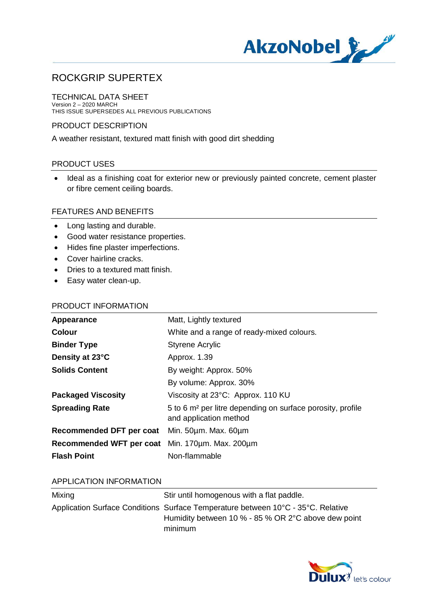

TECHNICAL DATA SHEET Version 2 – 2020 MARCH THIS ISSUE SUPERSEDES ALL PREVIOUS PUBLICATIONS

#### PRODUCT DESCRIPTION

A weather resistant, textured matt finish with good dirt shedding

### PRODUCT USES

· Ideal as a finishing coat for exterior new or previously painted concrete, cement plaster or fibre cement ceiling boards.

#### FEATURES AND BENEFITS

- · Long lasting and durable.
- · Good water resistance properties.
- · Hides fine plaster imperfections.
- · Cover hairline cracks.
- · Dries to a textured matt finish.
- · Easy water clean-up.

### PRODUCT INFORMATION

| Appearance                                      | Matt, Lightly textured                                                                           |
|-------------------------------------------------|--------------------------------------------------------------------------------------------------|
| <b>Colour</b>                                   | White and a range of ready-mixed colours.                                                        |
| <b>Binder Type</b>                              | <b>Styrene Acrylic</b>                                                                           |
| Density at 23°C                                 | Approx. 1.39                                                                                     |
| <b>Solids Content</b>                           | By weight: Approx. 50%                                                                           |
|                                                 | By volume: Approx. 30%                                                                           |
| <b>Packaged Viscosity</b>                       | Viscosity at 23°C: Approx. 110 KU                                                                |
| <b>Spreading Rate</b>                           | 5 to 6 m <sup>2</sup> per litre depending on surface porosity, profile<br>and application method |
| Recommended DFT per coat Min. 50um. Max. 60um   |                                                                                                  |
| Recommended WFT per coat Min. 170um. Max. 200um |                                                                                                  |
| <b>Flash Point</b>                              | Non-flammable                                                                                    |
|                                                 |                                                                                                  |

#### APPLICATION INFORMATION

| Mixing | Stir until homogenous with a flat paddle.                                        |
|--------|----------------------------------------------------------------------------------|
|        | Application Surface Conditions Surface Temperature between 10°C - 35°C. Relative |
|        | Humidity between 10 % - 85 % OR 2°C above dew point                              |
|        | minimum                                                                          |

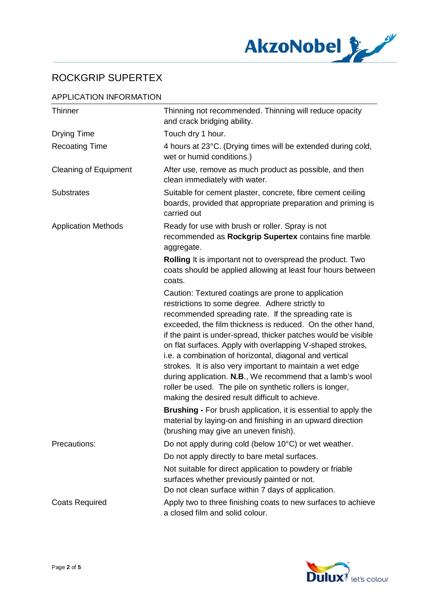

## APPLICATION INFORMATION

| <b>Thinner</b>               | Thinning not recommended. Thinning will reduce opacity<br>and crack bridging ability.                                                                                                                                                                                                                                                                                                                                                                                                                                                                                                                                                                                                                                                                                                                    |
|------------------------------|----------------------------------------------------------------------------------------------------------------------------------------------------------------------------------------------------------------------------------------------------------------------------------------------------------------------------------------------------------------------------------------------------------------------------------------------------------------------------------------------------------------------------------------------------------------------------------------------------------------------------------------------------------------------------------------------------------------------------------------------------------------------------------------------------------|
| <b>Drying Time</b>           | Touch dry 1 hour.                                                                                                                                                                                                                                                                                                                                                                                                                                                                                                                                                                                                                                                                                                                                                                                        |
| <b>Recoating Time</b>        | 4 hours at 23°C. (Drying times will be extended during cold,<br>wet or humid conditions.)                                                                                                                                                                                                                                                                                                                                                                                                                                                                                                                                                                                                                                                                                                                |
| <b>Cleaning of Equipment</b> | After use, remove as much product as possible, and then<br>clean immediately with water.                                                                                                                                                                                                                                                                                                                                                                                                                                                                                                                                                                                                                                                                                                                 |
| <b>Substrates</b>            | Suitable for cement plaster, concrete, fibre cement ceiling<br>boards, provided that appropriate preparation and priming is<br>carried out                                                                                                                                                                                                                                                                                                                                                                                                                                                                                                                                                                                                                                                               |
| <b>Application Methods</b>   | Ready for use with brush or roller. Spray is not<br>recommended as Rockgrip Supertex contains fine marble<br>aggregate.                                                                                                                                                                                                                                                                                                                                                                                                                                                                                                                                                                                                                                                                                  |
|                              | Rolling It is important not to overspread the product. Two<br>coats should be applied allowing at least four hours between<br>coats.                                                                                                                                                                                                                                                                                                                                                                                                                                                                                                                                                                                                                                                                     |
|                              | Caution: Textured coatings are prone to application<br>restrictions to some degree. Adhere strictly to<br>recommended spreading rate. If the spreading rate is<br>exceeded, the film thickness is reduced. On the other hand,<br>if the paint is under-spread, thicker patches would be visible<br>on flat surfaces. Apply with overlapping V-shaped strokes,<br>i.e. a combination of horizontal, diagonal and vertical<br>strokes. It is also very important to maintain a wet edge<br>during application. N.B., We recommend that a lamb's wool<br>roller be used. The pile on synthetic rollers is longer,<br>making the desired result difficult to achieve.<br><b>Brushing - For brush application, it is essential to apply the</b><br>material by laying-on and finishing in an upward direction |
| Precautions:                 | (brushing may give an uneven finish).<br>Do not apply during cold (below 10°C) or wet weather.                                                                                                                                                                                                                                                                                                                                                                                                                                                                                                                                                                                                                                                                                                           |
|                              | Do not apply directly to bare metal surfaces.                                                                                                                                                                                                                                                                                                                                                                                                                                                                                                                                                                                                                                                                                                                                                            |
|                              | Not suitable for direct application to powdery or friable<br>surfaces whether previously painted or not.<br>Do not clean surface within 7 days of application.                                                                                                                                                                                                                                                                                                                                                                                                                                                                                                                                                                                                                                           |
| <b>Coats Required</b>        | Apply two to three finishing coats to new surfaces to achieve<br>a closed film and solid colour.                                                                                                                                                                                                                                                                                                                                                                                                                                                                                                                                                                                                                                                                                                         |

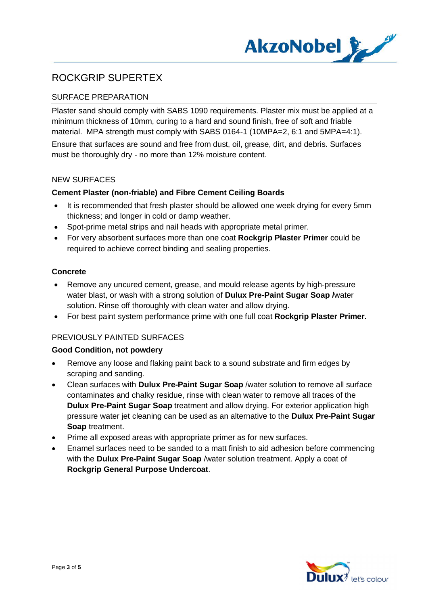

## SURFACE PREPARATION

Plaster sand should comply with SABS 1090 requirements. Plaster mix must be applied at a minimum thickness of 10mm, curing to a hard and sound finish, free of soft and friable material. MPA strength must comply with SABS 0164-1 (10MPA=2, 6:1 and 5MPA=4:1).

Ensure that surfaces are sound and free from dust, oil, grease, dirt, and debris. Surfaces must be thoroughly dry - no more than 12% moisture content.

#### NEW SURFACES

#### **Cement Plaster (non-friable) and Fibre Cement Ceiling Boards**

- It is recommended that fresh plaster should be allowed one week drying for every 5mm thickness; and longer in cold or damp weather.
- · Spot-prime metal strips and nail heads with appropriate metal primer.
- · For very absorbent surfaces more than one coat **Rockgrip Plaster Primer** could be required to achieve correct binding and sealing properties.

### **Concrete**

- · Remove any uncured cement, grease, and mould release agents by high-pressure water blast, or wash with a strong solution of **Dulux Pre-Paint Sugar Soap /**water solution. Rinse off thoroughly with clean water and allow drying.
- · For best paint system performance prime with one full coat **Rockgrip Plaster Primer.**

### PREVIOUSLY PAINTED SURFACES

### **Good Condition, not powdery**

- · Remove any loose and flaking paint back to a sound substrate and firm edges by scraping and sanding.
- · Clean surfaces with **Dulux Pre-Paint Sugar Soap** /water solution to remove all surface contaminates and chalky residue, rinse with clean water to remove all traces of the **Dulux Pre-Paint Sugar Soap** treatment and allow drying. For exterior application high pressure water jet cleaning can be used as an alternative to the **Dulux Pre-Paint Sugar Soap** treatment.
- Prime all exposed areas with appropriate primer as for new surfaces.
- · Enamel surfaces need to be sanded to a matt finish to aid adhesion before commencing with the **Dulux Pre-Paint Sugar Soap** /water solution treatment. Apply a coat of **Rockgrip General Purpose Undercoat**.

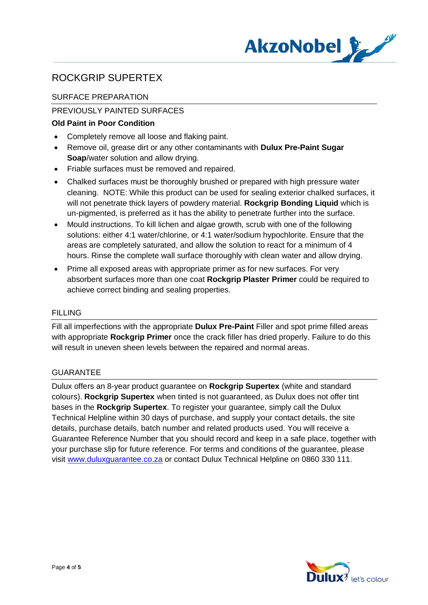

## SURFACE PREPARATION

## PREVIOUSLY PAINTED SURFACES

## **Old Paint in Poor Condition**

- · Completely remove all loose and flaking paint.
- · Remove oil, grease dirt or any other contaminants with **Dulux Pre-Paint Sugar Soap**/water solution and allow drying.
- · Friable surfaces must be removed and repaired.
- · Chalked surfaces must be thoroughly brushed or prepared with high pressure water cleaning. NOTE: While this product can be used for sealing exterior chalked surfaces, it will not penetrate thick layers of powdery material. **Rockgrip Bonding Liquid** which is un-pigmented, is preferred as it has the ability to penetrate further into the surface.
- · Mould instructions. To kill lichen and algae growth, scrub with one of the following solutions: either 4:1 water/chlorine, or 4:1 water/sodium hypochlorite. Ensure that the areas are completely saturated, and allow the solution to react for a minimum of 4 hours. Rinse the complete wall surface thoroughly with clean water and allow drying.
- · Prime all exposed areas with appropriate primer as for new surfaces. For very absorbent surfaces more than one coat **Rockgrip Plaster Primer** could be required to achieve correct binding and sealing properties.

### FILLING

Fill all imperfections with the appropriate **Dulux Pre-Paint** Filler and spot prime filled areas with appropriate **Rockgrip Primer** once the crack filler has dried properly. Failure to do this will result in uneven sheen levels between the repaired and normal areas.

### GUARANTEE

Dulux offers an 8-year product guarantee on **Rockgrip Supertex** (white and standard colours). **Rockgrip Supertex** when tinted is not guaranteed, as Dulux does not offer tint bases in the **Rockgrip Supertex**. To register your guarantee, simply call the Dulux Technical Helpline within 30 days of purchase, and supply your contact details, the site details, purchase details, batch number and related products used. You will receive a Guarantee Reference Number that you should record and keep in a safe place, together with your purchase slip for future reference. For terms and conditions of the guarantee, please visit www.duluxguarantee.co.za or contact Dulux Technical Helpline on 0860 330 111.